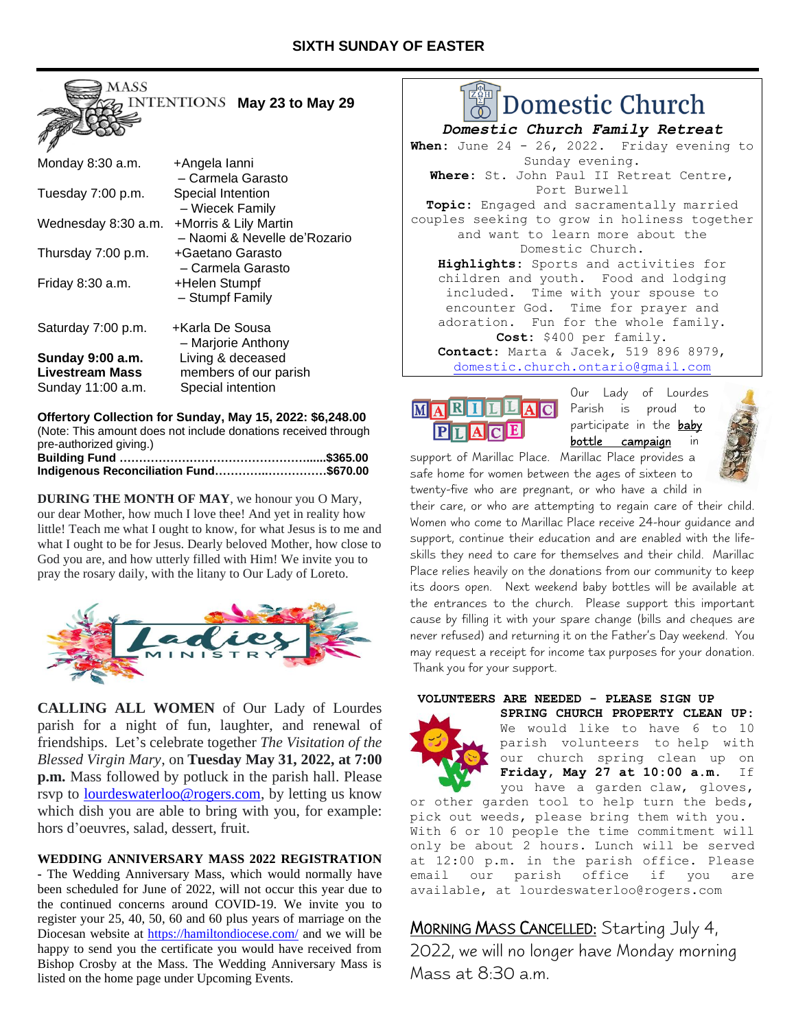

| Monday 8:30 a.m.       | +Angela lanni                |
|------------------------|------------------------------|
|                        | - Carmela Garasto            |
| Tuesday 7:00 p.m.      | Special Intention            |
|                        | - Wiecek Family              |
| Wednesday 8:30 a.m.    | +Morris & Lily Martin        |
|                        | - Naomi & Nevelle de'Rozario |
| Thursday 7:00 p.m.     | +Gaetano Garasto             |
|                        | - Carmela Garasto            |
| Friday 8:30 a.m.       | +Helen Stumpf                |
|                        | - Stumpf Family              |
|                        |                              |
| Saturday 7:00 p.m.     | +Karla De Sousa              |
|                        | - Marjorie Anthony           |
| Sunday 9:00 a.m.       | Living & deceased            |
| <b>Livestream Mass</b> | members of our parish        |
| Sunday 11:00 a.m.      | Special intention            |

**Offertory Collection for Sunday, May 15, 2022: \$6,248.00** (Note: This amount does not include donations received through pre-authorized giving.) **Building Fund …………………………………………......\$365.00 Indigenous Reconciliation Fund…………..……………\$670.00**

**DURING THE MONTH OF MAY**, we honour you O Mary, our dear Mother, how much I love thee! And yet in reality how little! Teach me what I ought to know, for what Jesus is to me and what I ought to be for Jesus. Dearly beloved Mother, how close to

God you are, and how utterly filled with Him! We invite you to pray the rosary daily, with the litany to Our Lady of Loreto.



**CALLING ALL WOMEN** of Our Lady of Lourdes parish for a night of fun, laughter, and renewal of friendships. Let's celebrate together *The Visitation of the Blessed Virgin Mary*, on **Tuesday May 31, 2022, at 7:00 p.m.** Mass followed by potluck in the parish hall. Please rsvp to [lourdeswaterloo@rogers.com,](mailto:lourdeswaterloo@rogers.com) by letting us know which dish you are able to bring with you, for example: hors d'oeuvres, salad, dessert, fruit.

### **WEDDING ANNIVERSARY MASS 2022 REGISTRATION**

**-** The Wedding Anniversary Mass, which would normally have been scheduled for June of 2022, will not occur this year due to the continued concerns around COVID-19. We invite you to register your 25, 40, 50, 60 and 60 plus years of marriage on the Diocesan website at [https://hamiltondiocese.com/](about:blank) and we will be happy to send you the certificate you would have received from Bishop Crosby at the Mass. The Wedding Anniversary Mass is listed on the home page under Upcoming Events.

# $\mathbb{Z}_2^{\omega}$ H | Domestic Church

*Domestic Church Family Retreat* When: June 24 - 26, 2022. Friday evening to Sunday evening. **Where:** St. John Paul II Retreat Centre, Port Burwell **Topic:** Engaged and sacramentally married couples seeking to grow in holiness together and want to learn more about the Domestic Church. **Highlights:** Sports and activities for children and youth. Food and lodging included. Time with your spouse to encounter God. Time for prayer and adoration. Fun for the whole family. **Cost:** \$400 per family. **Contact:** Marta & Jacek, 519 896 8979, [domestic.church.ontario@gmail.com](mailto:domestic.church.ontario@gmail.com)

# LLAC MARI PLACE

Our Lady of Lourdes Parish is proud to participate in the baby **bottle campaign** in

support of Marillac Place. Marillac Place provides a safe home for women between the ages of sixteen to twenty-five who are pregnant, or who have a child in

their care, or who are attempting to regain care of their child. Women who come to Marillac Place receive 24-hour guidance and support, continue their education and are enabled with the lifeskills they need to care for themselves and their child. Marillac Place relies heavily on the donations from our community to keep its doors open. Next weekend baby bottles will be available at the entrances to the church. Please support this important cause by filling it with your spare change (bills and cheques are never refused) and returning it on the Father's Day weekend. You may request a receipt for income tax purposes for your donation. Thank you for your support.

#### **VOLUNTEERS ARE NEEDED - PLEASE SIGN UP**



**SPRING CHURCH PROPERTY CLEAN UP:**  We would like to have 6 to 10 parish volunteers to help with our church spring clean up on **Friday, May 27 at 10:00 a.m**. If you have a garden claw, gloves,

or other garden tool to help turn the beds, pick out weeds, please bring them with you. With 6 or 10 people the time commitment will only be about 2 hours. Lunch will be served at 12:00 p.m. in the parish office. Please email our parish office if you are available, at lourdeswaterloo@rogers.com

# MORNING MASS CANCELLED: Starting July 4,

2022, we will no longer have Monday morning Mass at 8:30 a.m.